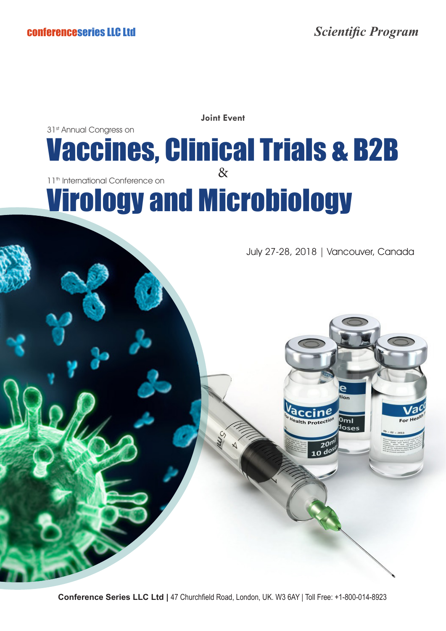**Joint Event**

## & Vaccines, Clinical Trials & B2B 31st Annual Congress on Virology and Microbiology 11<sup>th</sup> International Conference on

July 27-28, 2018 | Vancouver, Canada

Ŕ

 $0<sub>ml</sub>$ 

 $10^{6}$ 

**Conference Series LLC Ltd |** 47 Churchfield Road, London, UK. W3 6AY | Toll Free: +1-800-014-8923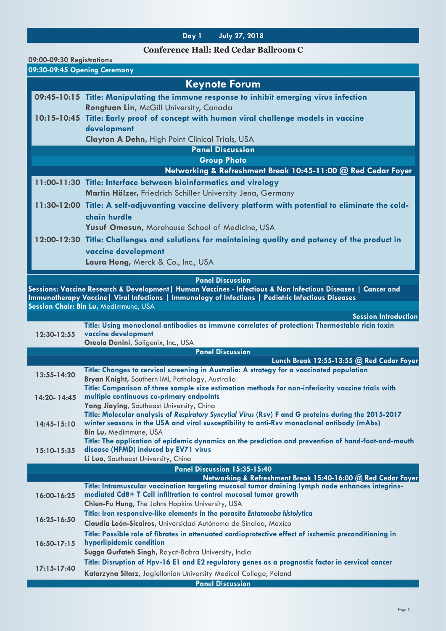## **Day 1 July 27, 2018**

## **Conference Hall: Red Cedar Ballroom C**

| 09:00-09:30 Registrations                                    |                                                                                                                                                   |  |
|--------------------------------------------------------------|---------------------------------------------------------------------------------------------------------------------------------------------------|--|
| 09:30-09:45 Opening Ceremony                                 |                                                                                                                                                   |  |
|                                                              | <b>Keynote Forum</b>                                                                                                                              |  |
|                                                              | 09:45-10:15 Title: Manipulating the immune response to inhibit emerging virus infection                                                           |  |
|                                                              | Rongtuan Lin, McGill University, Canada                                                                                                           |  |
|                                                              | 10:15-10:45 Title: Early proof of concept with human viral challenge models in vaccine                                                            |  |
|                                                              | development                                                                                                                                       |  |
|                                                              | <b>Clayton A Dehn, High Point Clinical Trials, USA</b>                                                                                            |  |
|                                                              | <b>Panel Discussion</b>                                                                                                                           |  |
| <b>Group Photo</b>                                           |                                                                                                                                                   |  |
| Networking & Refreshment Break 10:45-11:00 @ Red Cedar Foyer |                                                                                                                                                   |  |
|                                                              | 11:00-11:30 Title: Interface between bioinformatics and virology                                                                                  |  |
|                                                              | Martin Hölzer, Friedrich Schiller University Jena, Germany                                                                                        |  |
|                                                              | 11:30-12:00 Title: A self-adjuvanting vaccine delivery platform with potential to eliminate the cold-                                             |  |
|                                                              | chain hurdle                                                                                                                                      |  |
|                                                              | Yusuf Omosun, Morehouse School of Medicine, USA                                                                                                   |  |
|                                                              | 12:00-12:30 Title: Challenges and solutions for maintaining quality and potency of the product in                                                 |  |
|                                                              |                                                                                                                                                   |  |
|                                                              | vaccine development                                                                                                                               |  |
|                                                              | Laura Hong, Merck & Co., Inc., USA                                                                                                                |  |
|                                                              | <b>Panel Discussion</b>                                                                                                                           |  |
|                                                              | Sessions: Vaccine Research & Development   Human Vaccines - Infectious & Non Infectious Diseases   Cancer and                                     |  |
|                                                              | Immunotherapy Vaccine   Viral Infections   Immunology of Infections   Pediatric Infectious Diseases<br>Session Chair: Bin Lu, Medimmune, USA      |  |
|                                                              | <b>Session Introduction</b>                                                                                                                       |  |
|                                                              | Title: Using monoclonal antibodies as immune correlates of protection: Thermostable ricin toxin                                                   |  |
| 12:30-12:55                                                  | vaccine development                                                                                                                               |  |
|                                                              | Oreola Donini, Soligenix, Inc., USA                                                                                                               |  |
|                                                              | <b>Panel Discussion</b><br>Lunch Break 12:55-13:55 @ Red Cedar Foyer                                                                              |  |
|                                                              | Title: Changes to cervical screening in Australia: A strategy for a vaccinated population                                                         |  |
| 13:55-14:20                                                  | Bryan Knight, Southern IML Pathology, Australia                                                                                                   |  |
|                                                              | Title: Comparison of three sample size estimation methods for non-inferiority vaccine trials with                                                 |  |
| 14:20-14:45                                                  | multiple continuous co-primary endpoints                                                                                                          |  |
|                                                              | Yang Jiaying, Southeast University, China<br>Title: Molecular analysis of Respiratory Syncytial Virus (Rsv) F and G proteins during the 2015-2017 |  |
| $14:45 - 15:10$                                              | winter seasons in the USA and viral susceptibility to anti-Rsv monoclonal antibody (mAbs)                                                         |  |
|                                                              | Bin Lu, Medimmune, USA                                                                                                                            |  |
|                                                              | Title: The application of epidemic dynamics on the prediction and prevention of hand-foot-and-mouth                                               |  |
| 15:10-15:35                                                  | disease (HFMD) induced by EV71 virus                                                                                                              |  |
|                                                              | Li Luo, Southeast University, China<br>Panel Discussion 15:35-15:40                                                                               |  |
|                                                              | Networking & Refreshment Break 15:40-16:00 @ Red Cedar Foyer                                                                                      |  |
|                                                              | Title: Intramuscular vaccination targeting mucosal tumor draining lymph node enhances integrins-                                                  |  |
| 16:00-16:25                                                  | mediated Cd8+ T Cell infiltration to control mucosal tumor growth                                                                                 |  |
|                                                              | Chien-Fu Hung, The Johns Hopkins University, USA                                                                                                  |  |
| 16:25-16:50                                                  | Title: Iron responsive-like elements in the parasite Entamoeba histolytica                                                                        |  |
|                                                              | Claudia León-Sicairos, Universidad Autónoma de Sinaloa, Mexico                                                                                    |  |
| $16:50-17:15$                                                | Title: Possible role of fibrates in attenuated cardioprotective effect of ischemic preconditioning in<br>hyperlipidemic condition                 |  |
|                                                              | Sugga Gurfateh Singh, Rayat-Bahra University, India                                                                                               |  |
|                                                              | Title: Disruption of Hpv-16 E1 and E2 regulatory genes as a prognostic factor in cervical cancer                                                  |  |
| $17:15-17:40$                                                | Katarzyna Sitarz, Jagiellonian University Medical College, Poland                                                                                 |  |
|                                                              |                                                                                                                                                   |  |